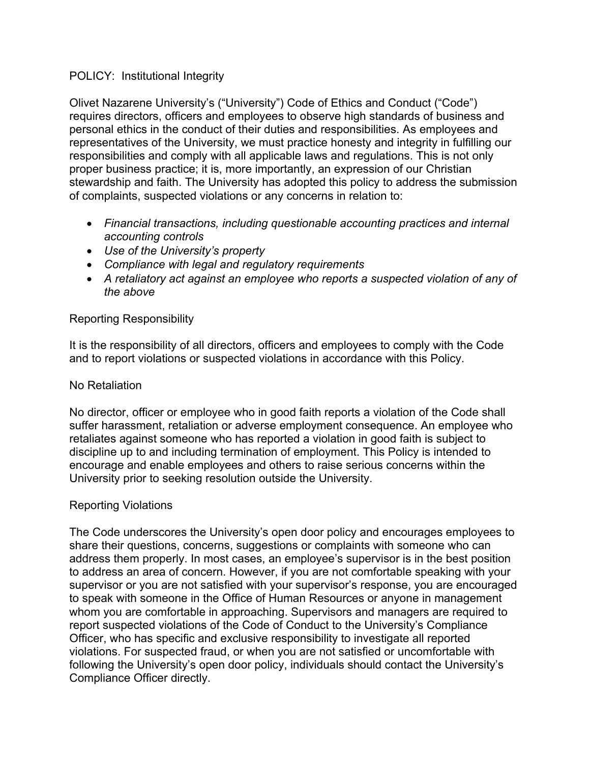### POLICY: Institutional Integrity

Olivet Nazarene University's ("University") Code of Ethics and Conduct ("Code") requires directors, officers and employees to observe high standards of business and personal ethics in the conduct of their duties and responsibilities. As employees and representatives of the University, we must practice honesty and integrity in fulfilling our responsibilities and comply with all applicable laws and regulations. This is not only proper business practice; it is, more importantly, an expression of our Christian stewardship and faith. The University has adopted this policy to address the submission of complaints, suspected violations or any concerns in relation to:

- *Financial transactions, including questionable accounting practices and internal accounting controls*
- *Use of the University's property*
- *Compliance with legal and regulatory requirements*
- *A retaliatory act against an employee who reports a suspected violation of any of the above*

## Reporting Responsibility

It is the responsibility of all directors, officers and employees to comply with the Code and to report violations or suspected violations in accordance with this Policy.

## No Retaliation

No director, officer or employee who in good faith reports a violation of the Code shall suffer harassment, retaliation or adverse employment consequence. An employee who retaliates against someone who has reported a violation in good faith is subject to discipline up to and including termination of employment. This Policy is intended to encourage and enable employees and others to raise serious concerns within the University prior to seeking resolution outside the University.

# Reporting Violations

The Code underscores the University's open door policy and encourages employees to share their questions, concerns, suggestions or complaints with someone who can address them properly. In most cases, an employee's supervisor is in the best position to address an area of concern. However, if you are not comfortable speaking with your supervisor or you are not satisfied with your supervisor's response, you are encouraged to speak with someone in the Office of Human Resources or anyone in management whom you are comfortable in approaching. Supervisors and managers are required to report suspected violations of the Code of Conduct to the University's Compliance Officer, who has specific and exclusive responsibility to investigate all reported violations. For suspected fraud, or when you are not satisfied or uncomfortable with following the University's open door policy, individuals should contact the University's Compliance Officer directly.